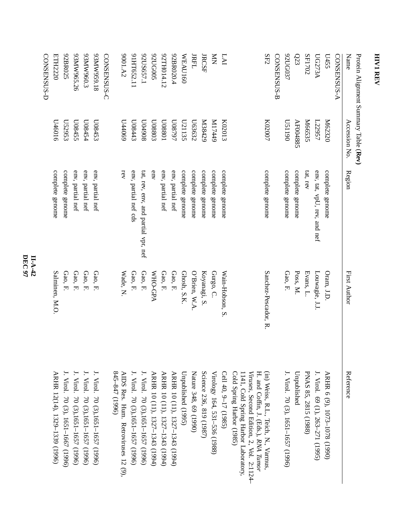| Protein Alignment Summary Table (Rev) |                    |                                     |                      |                                                                                                                         |
|---------------------------------------|--------------------|-------------------------------------|----------------------|-------------------------------------------------------------------------------------------------------------------------|
| Name                                  | Accession No.      | Region                              | First Author         | Reference                                                                                                               |
| CONSENSUS-A                           |                    |                                     |                      |                                                                                                                         |
| L455                                  | M62320             | complete genome                     | Oram, J.D            | ARHR 6 (9), 1073-1078 (1990)                                                                                            |
| <b>UG273A</b>                         | L22957             | env, tat, vpU, rev, and nef         | Louwagie, J.J.       | J. Virol. 69 (1), 263–271 (1995)                                                                                        |
| SF1702                                | M66535             | tat, rev                            | Evans, L.            | PNAS 85, 2815 (1988)                                                                                                    |
| Q23                                   | AF004885           | complete genome                     | Poss, M.             | Unpublished                                                                                                             |
| 92UG037                               | 061150             | complete genome                     | Gao, F.              | J. Virol. 70 (3), 1651–1657 (1996)                                                                                      |
| CONSENSUS-B                           |                    |                                     |                      |                                                                                                                         |
| SF2                                   | K02007             | complete genome                     | Sanchez-Pescador, R. | (in) Weiss, R.L., Teich, N., Varmus,<br>Viruses, Second Edition, 2, Vol. 2:1124-<br>H. and Coffin, J. (Eds.), RNA Tumor |
|                                       |                    |                                     |                      | Cold Spring Harbor (1985)<br>1141, Cold Spring Harbor Laboratory,                                                       |
| LAI                                   | K02013             | complete genome                     | Wain-Hobson, S.      | Cell 40, 9-17 (1985)                                                                                                    |
| $\sum_{i=1}^{n}$                      | 6ttLIN             | complete genome                     | Gurgo, C.            | Virology 164, 531-536 (1988)                                                                                            |
| <b>JRCSF</b>                          | N38429             | complete genome                     | Koyanagi, S          | Science 236, 819 (1987)                                                                                                 |
| <b>JRFL</b>                           | L63632             | complete genome                     | $O'B$ rien, W.A      | Nature 348, 69 (1990)                                                                                                   |
| WEAU160                               | L21135             | complete genome                     | Ghosh, S.K.          | Unpublished (1995)                                                                                                      |
| 92BR020.4                             | L6 <i>L</i> 80N    | env, partial nef                    | Gao, F.              | ARHR 10 (11), 1327-1343 (1994)                                                                                          |
| 2TH014.12                             | L08801             | env, partial nef                    | Gao, F.              | ARHR 10 (11), 1327-1343 (1994)                                                                                          |
| <b>92UG005</b>                        | C088013            | env                                 | <b>MHO-GPA</b>       | ARHR 10 (11), 1327-1343 (1994)                                                                                          |
| 92US657.1                             | 806+00             | tat, rev, env, and partial vpr, nef | Gao, F.              | J. Virol. 70 (3),1651-1657 (1996)                                                                                       |
| 91HT652.11                            | Ct <sub>80</sub> 0 | env, partial nef cds                | Gao, F.              | J. Virol. 70 (3),1651–1657 (1996)                                                                                       |
| 9001.A2                               | 044069             | rev                                 | Wade, N              | $845 - 847$ (1996)<br>AIDS Res. Hum. Retroviruses 12 (9),                                                               |
| CONSENSUS-C                           |                    |                                     |                      |                                                                                                                         |
| 81'656ANX56                           | CSt800             | env, partial nef                    | Gao, F.              | J. Virol. 70 (3),1651-1657 (1996)                                                                                       |
| 63MW960.3                             | L08454             | env, partial nef                    | Gao, F.              | J. Virol. 70 (3),1651-1657 (1996)                                                                                       |
| 93MW965.26                            | L08455             | env, partial nef                    | Gao, F.              | J. Virol. 70 (3),1651-1657 (1996)                                                                                       |
| 92BR025                               | L52953             | complete genome                     | Gao, F.              | J. Virol. 70 (3), 1651–1667 (1996)                                                                                      |
| ETH2220                               | 0109tQ             | complete genome                     | Salminen, M.O.       | ARHR 12(14), 1329-1339 (1996)                                                                                           |
| CONSENSUS-D                           |                    |                                     |                      |                                                                                                                         |

**HIV1 REV**

## **DEC 97 II-A-42**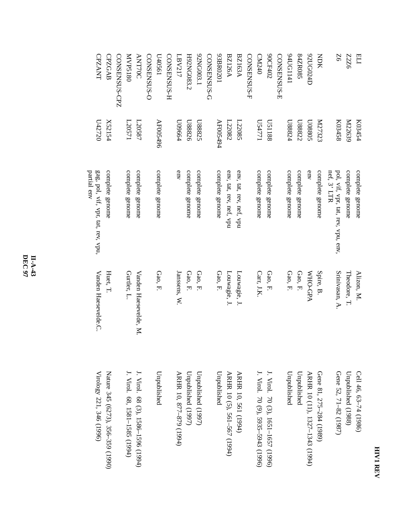| ï |  |  |
|---|--|--|
|   |  |  |

**Z6** 

BLI<br>Z2Z6

| K03454             | complete genome                                                | Alizon, M.                           | Cell 46, 63–74 (1986)                                                         |
|--------------------|----------------------------------------------------------------|--------------------------------------|-------------------------------------------------------------------------------|
| M22639             | complete genome                                                | Theodore, T.                         | Unpublished (1988)                                                            |
| K03458             | pol, vif, vpr, tat, rev, vpu, env, $n \in \mathbb{C}$ , 3' LTR | Srinivasan, A.                       | Gene 52, 71-82 (1987)                                                         |
| K27323             | complete genome                                                | Spire, B.                            | Gene 81, 275-28<br>(1986)                                                     |
| C08801             | env                                                            | <b>MHO-GPA</b>                       | ARHR 10 (11), 1327-1343 (1994)                                                |
| L88822             | complete genome                                                | Gao, F.                              | Unpublished                                                                   |
| r <sub>28824</sub> | complete genome                                                | Gao, F.                              | Unpublished                                                                   |
| <b>US1188</b>      | complete genome                                                | Gao, F.                              | J. Virol. 70 (3),<br>$1651 - 1657$ (1996)                                     |
| L24771             | complete genome                                                | Carr, J.K.                           | J. Virol. 70 (9), 5935-5943 (1996)                                            |
| L22085             | env, tat, rev, nef, vpu                                        | Louwagie, J.                         | ARHR 10, 561 (1<br>1994)                                                      |
| L22082             | env, tat, rev, nef, vpu                                        | Louwagie, J.                         | ARHR 10 (5), 561–567 (1994)                                                   |
| AF005494           | complete genome                                                | Gao, F.                              | Unpublished                                                                   |
| L88825             | complete genome                                                | Gao, F.                              | Unpublished (1997)                                                            |
| U88826             | complete genome                                                | Gao, F.                              | Unpublished (1997)                                                            |
| r99600             | env                                                            | Janssens, W.                         | ARHR 10, 877-879 (1994)                                                       |
| AF005496           | complete genome                                                | Gao, F.                              | Unpublished                                                                   |
| L20571<br>L20587   | complete genome<br>complete genome                             | Gurtler, L.<br>Vanden Haesevelde, M. | J. Virol. 68, 158<br>J. Virol. 68 (3),<br>(1994) 596 (1994)<br>$-1585$ (1994) |
| X52154             | complete genome                                                | Huet, T.                             | Nature 345 (6273), 356–359 (1990)                                             |

**DEC 97 II-A-43**

CPZANT

**CPZANT CPZGAB** 

CPZGAB

CONSENSUS-CPZ

CONSENSUS-CPZ

MVP5180

081SdAM

ANT70C

**ANT70C** 

CONSENSUS-O

CONSENSUS-O

U40561

CONSENSUS-H

CONSENSUS-H

LBV217

LBV217

H92NG083.2

H92NG083.2

92NG003.1

1200003.1

CONSENSUS-G 93BR0201

CONSENSUS-G

BZ126A

**BZ126A BZ163A** 

10Z0BK650

BZ163A

CONSENSUS-F

CONSENSUS-F

CM240

90CF402

90CF402

CONSENSUS-E 94UG1141

CONSENSUS-E

84ZR085

S80XZ88

141191141

92UG024D

drzopnz6

NDK

U42720

 gag, pol, vif, vpr, tat, rev,vpu,

Vanden Haesevelde.C. Haesevelde.C.

Virology 221, 346 (1996)

partial env